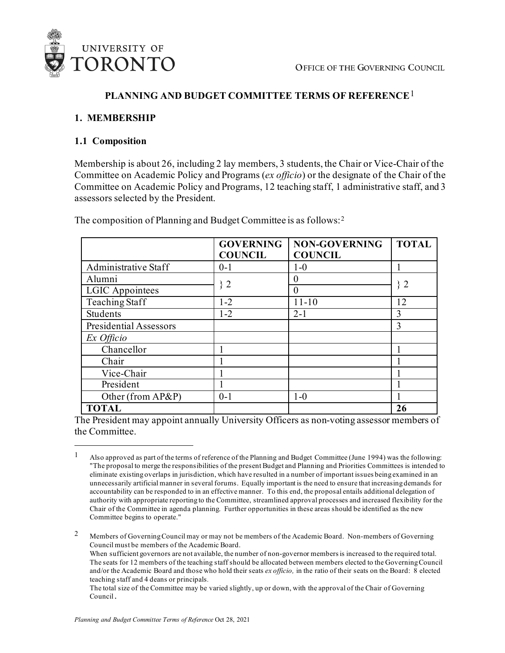

## **PLANNING AND BUDGET COMMITTEE TERMS OF REFERENCE**[1](#page-0-0)

### **1. MEMBERSHIP**

### **1.1 Composition**

Membership is about 26, including 2 lay members, 3 students, the Chair or Vice-Chair of the Committee on Academic Policy and Programs (*ex officio*) or the designate of the Chair of the Committee on Academic Policy and Programs, 12 teaching staff, 1 administrative staff, and 3 assessors selected by the President.

|                               | <b>GOVERNING</b><br><b>COUNCIL</b> | <b>NON-GOVERNING</b><br><b>COUNCIL</b> | <b>TOTAL</b> |
|-------------------------------|------------------------------------|----------------------------------------|--------------|
| Administrative Staff          | $0 - 1$                            | $1-0$                                  |              |
| Alumni                        | 32                                 |                                        | $\}$ 2       |
| <b>LGIC</b> Appointees        |                                    | 0                                      |              |
| Teaching Staff                | $1 - 2$                            | $11 - 10$                              | 12           |
| Students                      | $1 - 2$                            | $2 - 1$                                | 3            |
| <b>Presidential Assessors</b> |                                    |                                        | 3            |
| Ex Officio                    |                                    |                                        |              |
| Chancellor                    |                                    |                                        |              |
| Chair                         |                                    |                                        |              |
| Vice-Chair                    |                                    |                                        |              |
| President                     |                                    |                                        |              |
| Other (from AP&P)             | $0-1$                              | $1-0$                                  |              |
| <b>TOTAL</b>                  |                                    |                                        | 26           |

The composition of Planning and Budget Committee is as follows:[2](#page-0-1)

The President may appoint annually University Officers as non-voting assessor members of the Committee.

<span id="page-0-0"></span><sup>&</sup>lt;sup>1</sup> Also approved as part of the terms of reference of the Planning and Budget Committee (June 1994) was the following: "The proposal to merge the responsibilities of the present Budget and Planning and Priorities Committees is intended to eliminate existing overlaps in jurisdiction, which have resulted in a number of important issues being examined in an unnecessarily artificial manner in several forums. Equally important is the need to ensure that increasing demands for accountability can be responded to in an effective manner. To this end, the proposal entails additional delegation of authority with appropriate reporting to the Committee, streamlined approval processes and increased flexibility for the Chair of the Committee in agenda planning. Further opportunities in these areas should be identified as the new Committee begins to operate."

<span id="page-0-1"></span><sup>&</sup>lt;sup>2</sup> Members of Governing Council may or may not be members of the Academic Board. Non-members of Governing Council must be members of the Academic Board.

When sufficient governors are not available, the number of non-governor members is increased to the required total. The seats for 12 members of the teaching staff should be allocated between members elected to the Governing Council and/or the Academic Board and those who hold their seats *ex officio,* in the ratio of their seats on the Board:8 elected teaching staff and 4 deans or principals*.*

The total size of the Committee may be varied slightly, up or down, with the approval of the Chair of Governing Council.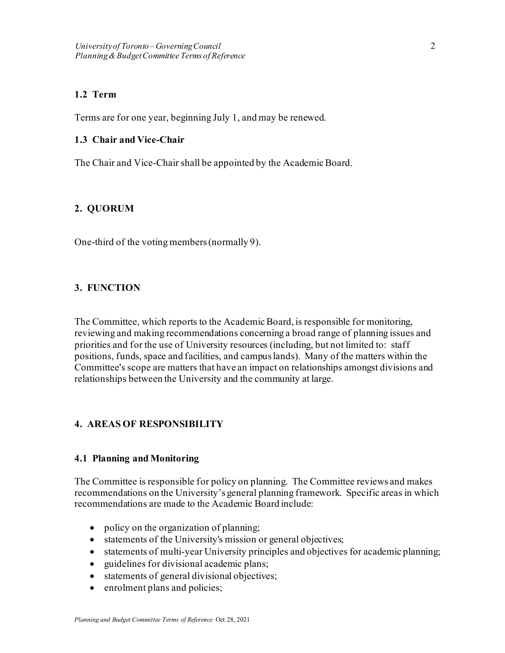### **1.2 Term**

Terms are for one year, beginning July 1, and may be renewed.

### **1.3 Chair and Vice-Chair**

The Chair and Vice-Chair shall be appointed by the Academic Board.

### **2. QUORUM**

One-third of the voting members (normally 9).

### **3. FUNCTION**

The Committee, which reports to the Academic Board, is responsible for monitoring, reviewing and making recommendations concerning a broad range of planning issues and priorities and for the use of University resources (including, but not limited to: staff positions, funds, space and facilities, and campus lands). Many of the matters within the Committee's scope are matters that have an impact on relationships amongst divisions and relationships between the University and the community at large.

## **4. AREAS OF RESPONSIBILITY**

### **4.1 Planning and Monitoring**

The Committee is responsible for policy on planning. The Committee reviews and makes recommendations on the University's general planning framework. Specific areas in which recommendations are made to the Academic Board include:

- policy on the organization of planning;
- statements of the University's mission or general objectives;
- statements of multi-year University principles and objectives for academic planning;
- guidelines for divisional academic plans;
- statements of general divisional objectives;
- enrolment plans and policies;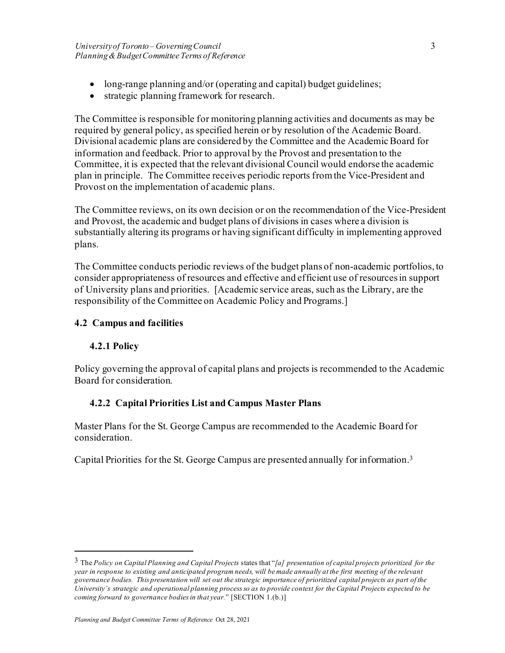- long-range planning and/or (operating and capital) budget guidelines;
- strategic planning framework for research.

The Committee is responsible for monitoring planning activities and documents as may be required by general policy, as specified herein or by resolution of the Academic Board. Divisional academic plans are considered by the Committee and the Academic Board for information and feedback. Prior to approval by the Provost and presentation to the Committee, it is expected that the relevant divisional Council would endorse the academic plan in principle. The Committee receives periodic reports from the Vice-President and Provost on the implementation of academic plans.

The Committee reviews, on its own decision or on the recommendation of the Vice-President and Provost, the academic and budget plans of divisions in cases where a division is substantially altering its programs or having significant difficulty in implementing approved plans.

The Committee conducts periodic reviews of the budget plans of non-academic portfolios, to consider appropriateness of resources and effective and efficient use of resources in support of University plans and priorities. [Academic service areas, such as the Library, are the responsibility of the Committee on Academic Policy and Programs.]

## **4.2 Campus and facilities**

## **4.2.1 Policy**

Policy governing the approval of capital plans and projects is recommended to the Academic Board for consideration.

## **4.2.2 Capital Priorities List and Campus Master Plans**

Master Plans for the St. George Campus are recommended to the Academic Board for consideration.

Capital Priorities for the St. George Campus are presented annually for information.[3](#page-2-0)

<span id="page-2-0"></span><sup>3</sup> The *Policy on Capital Planning and Capital Projects* states that "*[a] presentation of capital projects prioritized for the year in response to existing and anticipated program needs, will be made annually at the first meeting of the relevant governance bodies. This presentation will set out the strategic importance of prioritized capital projects as part of the University's strategic and operational planning process so as to provide context for the Capital Projects expected to be coming forward to governance bodies in that year.*" [SECTION 1.(b.)]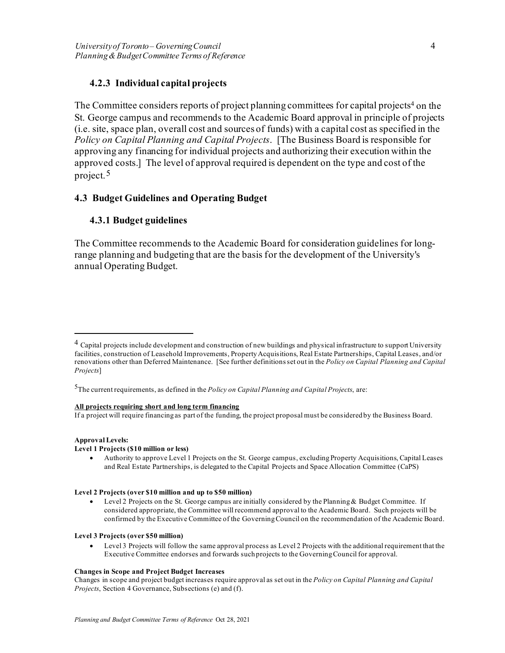## **4.2.3 Individual capital projects**

The Committee considers reports of project planning committees for capital projects<sup>4</sup> on the St. George campus and recommends to the Academic Board approval in principle of projects (i.e. site, space plan, overall cost and sources of funds) with a capital cost as specified in the *Policy on Capital Planning and Capital Projects*. [The Business Board is responsible for approving any financing for individual projects and authorizing their execution within the approved costs.] The level of approval required is dependent on the type and cost of the project.[5](#page-3-1)

## **4.3 Budget Guidelines and Operating Budget**

## **4.3.1 Budget guidelines**

The Committee recommends to the Academic Board for consideration guidelines for longrange planning and budgeting that are the basis for the development of the University's annual Operating Budget.

#### **All projects requiring short and long term financing**

If a project will require financing as part of the funding, the project proposal must be considered by the Business Board.

#### **Approval Levels:**

#### **Level 1 Projects (\$10 million or less)**

• Authority to approve Level 1 Projects on the St. George campus, excluding Property Acquisitions, Capital Leases and Real Estate Partnerships, is delegated to the Capital Projects and Space Allocation Committee (CaPS)

#### **Level 2 Projects (over \$10 million and up to \$50 million)**

Level 2 Projects on the St. George campus are initially considered by the Planning & Budget Committee. If considered appropriate, the Committee will recommend approval to the Academic Board. Such projects will be confirmed by the Executive Committee of the Governing Council on the recommendation of the Academic Board.

#### **Level 3 Projects (over \$50 million)**

• Level 3 Projects will follow the same approval process as Level 2 Projects with the additional requirement that the Executive Committee endorses and forwards such projects to the Governing Council for approval.

#### **Changes in Scope and Project Budget Increases**

Changes in scope and project budget increases require approval as set out in the *Policy on Capital Planning and Capital Projects*, Section 4 Governance, Subsections (e) and (f).

<span id="page-3-0"></span><sup>&</sup>lt;sup>4</sup> Capital projects include development and construction of new buildings and physical infrastructure to support University facilities, construction of Leasehold Improvements, Property Acquisitions, Real Estate Partnerships, Capital Leases, and/or renovations other than Deferred Maintenance. [See further definitions set out in the *Policy on Capital Planning and Capital Projects*]

<span id="page-3-1"></span><sup>5</sup>The current requirements, as defined in the *Policy on Capital Planning and Capital Projects*, are: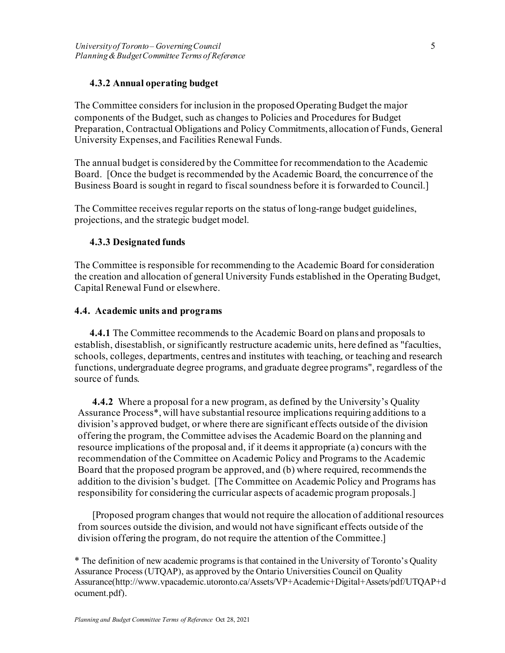## **4.3.2 Annual operating budget**

The Committee considers for inclusion in the proposed Operating Budget the major components of the Budget, such as changes to Policies and Procedures for Budget Preparation, Contractual Obligations and Policy Commitments, allocation of Funds, General University Expenses, and Facilities Renewal Funds.

The annual budget is considered by the Committee for recommendation to the Academic Board. [Once the budget is recommended by the Academic Board, the concurrence of the Business Board is sought in regard to fiscal soundness before it is forwarded to Council.]

The Committee receives regular reports on the status of long-range budget guidelines, projections, and the strategic budget model.

### **4.3.3 Designated funds**

The Committee is responsible for recommending to the Academic Board for consideration the creation and allocation of general University Funds established in the Operating Budget, Capital Renewal Fund or elsewhere.

### **4.4. Academic units and programs**

**4.4.1** The Committee recommends to the Academic Board on plans and proposals to establish, disestablish, or significantly restructure academic units, here defined as "faculties, schools, colleges, departments, centres and institutes with teaching, or teaching and research functions, undergraduate degree programs, and graduate degree programs", regardless of the source of funds.

**4.4.2** Where a proposal for a new program, as defined by the University's Quality Assurance Process\*, will have substantial resource implications requiring additions to a division's approved budget, or where there are significant effects outside of the division offering the program, the Committee advises the Academic Board on the planning and resource implications of the proposal and, if it deems it appropriate (a) concurs with the recommendation of the Committee on Academic Policy and Programs to the Academic Board that the proposed program be approved, and (b) where required, recommends the addition to the division's budget. [The Committee on Academic Policy and Programs has responsibility for considering the curricular aspects of academic program proposals.]

[Proposed program changes that would not require the allocation of additional resources from sources outside the division, and would not have significant effects outside of the division offering the program, do not require the attention of the Committee.]

\* The definition of new academic programs is that contained in the University of Toronto's Quality Assurance Process (UTQAP), as approved by the Ontario Universities Council on Quality Assurance(http://www.vpacademic.utoronto.ca/Assets/VP+Academic+Digital+Assets/pdf/UTQAP+d ocument.pdf).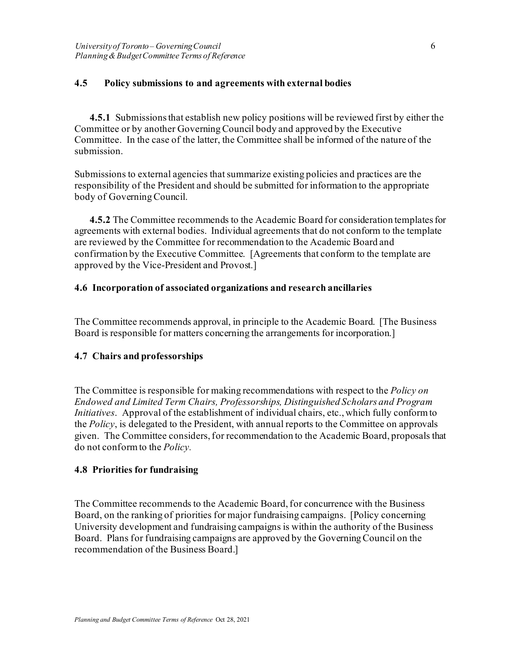### **4.5 Policy submissions to and agreements with external bodies**

**4.5.1** Submissions that establish new policy positions will be reviewed first by either the Committee or by another Governing Council body and approved by the Executive Committee. In the case of the latter, the Committee shall be informed of the nature of the submission.

Submissions to external agencies that summarize existing policies and practices are the responsibility of the President and should be submitted for information to the appropriate body of Governing Council.

**4.5.2** The Committee recommends to the Academic Board for consideration templates for agreements with external bodies. Individual agreements that do not conform to the template are reviewed by the Committee for recommendation to the Academic Board and confirmation by the Executive Committee. [Agreements that conform to the template are approved by the Vice-President and Provost.]

### **4.6 Incorporation of associated organizations and research ancillaries**

The Committee recommends approval, in principle to the Academic Board. [The Business Board is responsible for matters concerning the arrangements for incorporation.]

### **4.7 Chairs and professorships**

The Committee is responsible for making recommendations with respect to the *Policy on Endowed and Limited Term Chairs, Professorships, Distinguished Scholars and Program Initiatives*. Approval of the establishment of individual chairs, etc., which fully conform to the *Policy*, is delegated to the President, with annual reports to the Committee on approvals given. The Committee considers, for recommendation to the Academic Board, proposals that do not conform to the *Policy.*

### **4.8 Priorities for fundraising**

The Committee recommends to the Academic Board, for concurrence with the Business Board, on the ranking of priorities for major fundraising campaigns. [Policy concerning University development and fundraising campaigns is within the authority of the Business Board. Plans for fundraising campaigns are approved by the Governing Council on the recommendation of the Business Board.]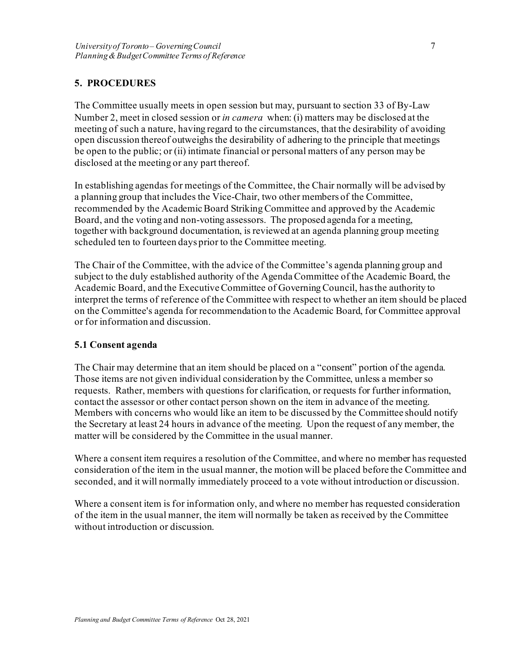# **5. PROCEDURES**

The Committee usually meets in open session but may, pursuant to section 33 of By-Law Number 2, meet in closed session or *in camera* when: (i) matters may be disclosed at the meeting of such a nature, having regard to the circumstances, that the desirability of avoiding open discussion thereof outweighs the desirability of adhering to the principle that meetings be open to the public; or (ii) intimate financial or personal matters of any person may be disclosed at the meeting or any part thereof.

In establishing agendas for meetings of the Committee, the Chair normally will be advised by a planning group that includes the Vice-Chair, two other members of the Committee, recommended by the Academic Board Striking Committee and approved by the Academic Board, and the voting and non-voting assessors. The proposed agenda for a meeting, together with background documentation, is reviewed at an agenda planning group meeting scheduled ten to fourteen days prior to the Committee meeting.

The Chair of the Committee, with the advice of the Committee's agenda planning group and subject to the duly established authority of the Agenda Committee of the Academic Board, the Academic Board, and the Executive Committee of Governing Council, has the authority to interpret the terms of reference of the Committee with respect to whether an item should be placed on the Committee's agenda for recommendation to the Academic Board, for Committee approval or for information and discussion.

## **5.1 Consent agenda**

The Chair may determine that an item should be placed on a "consent" portion of the agenda. Those items are not given individual consideration by the Committee, unless a member so requests. Rather, members with questions for clarification, or requests for further information, contact the assessor or other contact person shown on the item in advance of the meeting. Members with concerns who would like an item to be discussed by the Committee should notify the Secretary at least 24 hours in advance of the meeting. Upon the request of any member, the matter will be considered by the Committee in the usual manner.

Where a consent item requires a resolution of the Committee, and where no member has requested consideration of the item in the usual manner, the motion will be placed before the Committee and seconded, and it will normally immediately proceed to a vote without introduction or discussion.

Where a consent item is for information only, and where no member has requested consideration of the item in the usual manner, the item will normally be taken as received by the Committee without introduction or discussion.